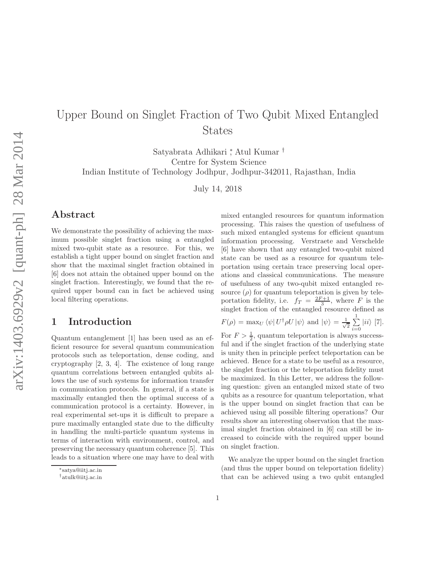## Upper Bound on Singlet Fraction of Two Qubit Mixed Entangled States

Satyabrata Adhikari <sup>∗</sup> , Atul Kumar † Centre for System Science

Indian Institute of Technology Jodhpur, Jodhpur-342011, Rajasthan, India

July 14, 2018

## Abstract

We demonstrate the possibility of achieving the maximum possible singlet fraction using a entangled mixed two-qubit state as a resource. For this, we establish a tight upper bound on singlet fraction and show that the maximal singlet fraction obtained in [6] does not attain the obtained upper bound on the singlet fraction. Interestingly, we found that the required upper bound can in fact be achieved using local filtering operations.

## 1 Introduction

Quantum entanglement [1] has been used as an efficient resource for several quantum communication protocols such as teleportation, dense coding, and cryptography [2, 3, 4]. The existence of long range quantum correlations between entangled qubits allows the use of such systems for information transfer in communication protocols. In general, if a state is maximally entangled then the optimal success of a communication protocol is a certainty. However, in real experimental set-ups it is difficult to prepare a pure maximally entangled state due to the difficulty in handling the multi-particle quantum systems in terms of interaction with environment, control, and preserving the necessary quantum coherence [5]. This leads to a situation where one may have to deal with mixed entangled resources for quantum information processing. This raises the question of usefulness of such mixed entangled systems for efficient quantum information processing. Verstraete and Verschelde [6] have shown that any entangled two-qubit mixed state can be used as a resource for quantum teleportation using certain trace preserving local operations and classical communications. The measure of usefulness of any two-qubit mixed entangled resource  $(\rho)$  for quantum teleportation is given by teleportation fidelity, i.e.  $f_T = \frac{2F+1}{3}$ , where F is the singlet fraction of the entangled resource defined as

$$
F(\rho) = \max_{U} \langle \psi | U^{\dagger} \rho U | \psi \rangle \text{ and } |\psi \rangle = \frac{1}{\sqrt{2}} \sum_{i=0}^{1} |ii\rangle [7].
$$

For  $F > \frac{1}{2}$ , quantum teleportation is always successful and if the singlet fraction of the underlying state is unity then in principle perfect teleportation can be achieved. Hence for a state to be useful as a resource, the singlet fraction or the teleportation fidelity must be maximized. In this Letter, we address the following question: given an entangled mixed state of two qubits as a resource for quantum teleportation, what is the upper bound on singlet fraction that can be achieved using all possible filtering operations? Our results show an interesting observation that the maximal singlet fraction obtained in [6] can still be increased to coincide with the required upper bound on singlet fraction.

We analyze the upper bound on the singlet fraction (and thus the upper bound on teleportation fidelity) that can be achieved using a two qubit entangled

<sup>∗</sup> satya@iitj.ac.in

<sup>†</sup>atulk@iitj.ac.in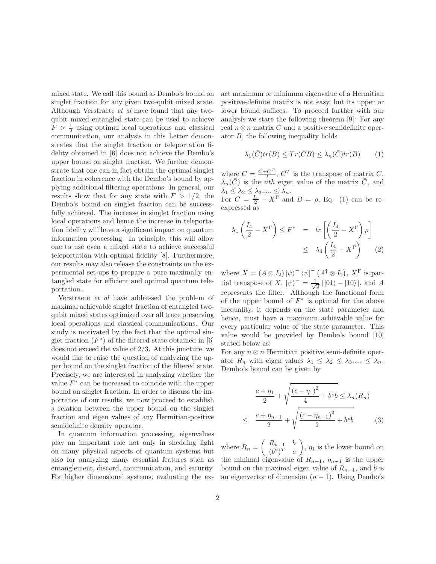mixed state. We call this bound as Dembo's bound on singlet fraction for any given two-qubit mixed state. Although Verstraete et al have found that any twoqubit mixed entangled state can be used to achieve  $F > \frac{1}{2}$  using optimal local operations and classical communication, our analysis in this Letter demonstrates that the singlet fraction or teleportation fidelity obtained in [6] does not achieve the Dembo's upper bound on singlet fraction. We further demonstrate that one can in fact obtain the optimal singlet fraction in coherence with the Dembo's bound by applying additional filtering operations. In general, our results show that for any state with  $F > 1/2$ , the Dembo's bound on singlet fraction can be successfully achieved. The increase in singlet fraction using local operations and hence the increase in teleportation fidelity will have a significant impact on quantum information processing. In principle, this will allow one to use even a mixed state to achieve successful teleportation with optimal fidelity [8]. Furthermore, our results may also release the constraints on the experimental set-ups to prepare a pure maximally entangled state for efficient and optimal quantum teleportation.

Verstraete et al have addressed the problem of maximal achievable singlet fraction of entangled twoqubit mixed states optimized over all trace preserving local operations and classical communications. Our study is motivated by the fact that the optimal singlet fraction  $(F^*)$  of the filtered state obtained in [6] does not exceed the value of 2/3. At this juncture, we would like to raise the question of analyzing the upper bound on the singlet fraction of the filtered state. Precisely, we are interested in analyzing whether the value  $F^*$  can be increased to coincide with the upper bound on singlet fraction. In order to discuss the importance of our results, we now proceed to establish a relation between the upper bound on the singlet fraction and eigen values of any Hermitian-positive semidefinite density operator.

In quantum information processing, eigenvalues play an important role not only in shedding light on many physical aspects of quantum systems but also for analyzing many essential features such as entanglement, discord, communication, and security. For higher dimensional systems, evaluating the exact maximum or minimum eigenvalue of a Hermitian positive-definite matrix is not easy, but its upper or lower bound suffices. To proceed further with our analysis we state the following theorem [9]: For any real  $n \otimes n$  matrix C and a positive semidefinite operator B, the following inequality holds

$$
\lambda_1(\bar{C})tr(B) \le Tr(CB) \le \lambda_n(\bar{C})tr(B) \qquad (1)
$$

where  $\bar{C} = \frac{C+C^T}{2}$  $\frac{C}{2}$ ,  $C^T$  is the transpose of matrix C,  $\lambda_n(\bar{C})$  is the *nth* eigen value of the matrix  $\bar{C}$ , and  $\lambda_1 \leq \lambda_2 \leq \lambda_3$ .....  $\leq \lambda_n$ .

For  $C = \frac{I_4}{2} - X^{\Gamma}$  and  $B = \rho$ , Eq. (1) can be reexpressed as

$$
\lambda_1 \left( \frac{I_4}{2} - X^{\Gamma} \right) \le F^* = tr \left[ \left( \frac{I_4}{2} - X^{\Gamma} \right) \rho \right]
$$
  

$$
\le \lambda_4 \left( \frac{I_4}{2} - X^{\Gamma} \right) \qquad (2)
$$

where  $X = (A \otimes I_2) |\psi\rangle^- \langle \psi|^- (A^{\dagger} \otimes I_2), X^{\Gamma}$  is partial transpose of X,  $|\psi\rangle = \frac{1}{\sqrt{2}}$  $\frac{1}{2} \lceil |01\rangle - |10\rangle \rceil$ , and A represents the filter. Although the functional form of the upper bound of  $F^*$  is optimal for the above inequality, it depends on the state parameter and hence, must have a maximum achievable value for every particular value of the state parameter. This value would be provided by Dembo's bound [10] stated below as:

For any  $n \otimes n$  Hermitian positive semi-definite operator  $R_n$  with eigen values  $\lambda_1 \leq \lambda_2 \leq \lambda_3$ .....  $\leq \lambda_n$ , Dembo's bound can be given by

$$
\frac{c + \eta_1}{2} + \sqrt{\frac{(c - \eta_1)^2}{4} + b^*b} \le \lambda_n(R_n)
$$
  

$$
\le \frac{c + \eta_{n-1}}{2} + \sqrt{\frac{(c - \eta_{n-1})^2}{2} + b^*b}
$$
 (3)

where  $R_n = \begin{pmatrix} R_{n-1} & b \\ (b^*)^T & c \end{pmatrix}$  $(b^*)^T$  c  $\left( \eta_1, \eta_2 \right)$  is the lower bound on the minimal eigenvalue of  $R_{n-1}$ ,  $\eta_{n-1}$  is the upper bound on the maximal eigen value of  $R_{n-1}$ , and b is an eigenvector of dimension  $(n - 1)$ . Using Dembo's

≤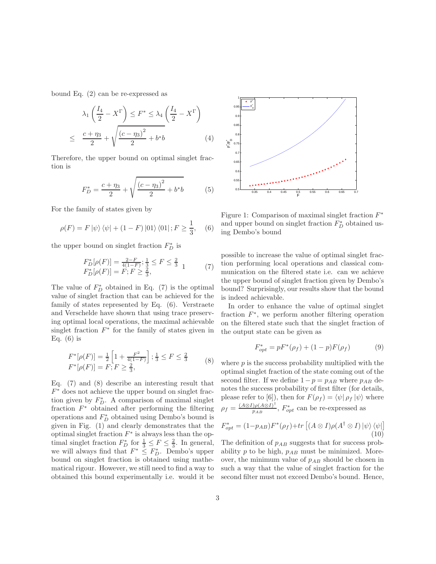bound Eq. (2) can be re-expressed as

$$
\lambda_1 \left( \frac{I_4}{2} - X^{\Gamma} \right) \le F^* \le \lambda_4 \left( \frac{I_4}{2} - X^{\Gamma} \right)
$$
  

$$
\le \frac{c + \eta_3}{2} + \sqrt{\frac{(c - \eta_3)^2}{2} + b^* b}
$$
 (4)

Therefore, the upper bound on optimal singlet fraction is

$$
F_D^* = \frac{c + \eta_3}{2} + \sqrt{\frac{(c - \eta_3)^2}{2} + b^*b} \tag{5}
$$

For the family of states given by

$$
\rho(F) = F |\psi\rangle \langle \psi| + (1 - F) |01\rangle \langle 01| ; F \ge \frac{1}{3}, \quad (6)
$$

the upper bound on singlet fraction  $F_D^*$  is

$$
F_D^*[ \rho(F)] = \frac{2-F}{4(1-F)}; \frac{1}{3} \le F \le \frac{2}{3} \quad 1 \qquad (7)
$$
  

$$
F_D^*[ \rho(F)] = F; F \ge \frac{2}{3},
$$

The value of  $F_D^*$  obtained in Eq. (7) is the optimal value of singlet fraction that can be achieved for the family of states represented by Eq. (6). Verstraete and Verschelde have shown that using trace preserving optimal local operations, the maximal achievable singlet fraction  $F^*$  for the family of states given in Eq.  $(6)$  is

$$
F^*[ \rho(F)] = \frac{1}{2} \left[ 1 + \frac{F^2}{4(1 - F)} \right]; \frac{1}{3} \le F \le \frac{2}{3}
$$
  

$$
F^*[\rho(F)] = F; F \ge \frac{2}{3}, \tag{8}
$$

Eq. (7) and (8) describe an interesting result that  $F^*$  does not achieve the upper bound on singlet fraction given by  $F_D^*$ . A comparison of maximal singlet fraction  $F^*$  obtained after performing the filtering operations and  $F_D^*$  obtained using Dembo's bound is given in Fig. (1) and clearly demonstrates that the optimal singlet fraction  $F^*$  is always less than the optimal singlet fraction  $F_D^*$  for  $\frac{1}{3} \leq F \leq \frac{2}{3}$ . In general, we will always find that  $F^* \n\t\leq F_D^*$ . Dembo's upper bound on singlet fraction is obtained using mathematical rigour. However, we still need to find a way to obtained this bound experimentally i.e. would it be



Figure 1: Comparison of maximal singlet fraction  $F^*$ and upper bound on singlet fraction  $F_D^*$  obtained using Dembo's bound

possible to increase the value of optimal singlet fraction performing local operations and classical communication on the filtered state i.e. can we achieve the upper bound of singlet fraction given by Dembo's bound? Surprisingly, our results show that the bound is indeed achievable.

In order to enhance the value of optimal singlet fraction  $F^*$ , we perform another filtering operation on the filtered state such that the singlet fraction of the output state can be given as

$$
F_{opt}^* = pF^*(\rho_f) + (1 - p)F(\rho_f)
$$
 (9)

where  $p$  is the success probability multiplied with the optimal singlet fraction of the state coming out of the second filter. If we define  $1-p = p_{AB}$  where  $p_{AB}$  denotes the success probability of first filter (for details, please refer to [6]), then for  $F(\rho_f) = \langle \psi | \rho_f | \psi \rangle$  where  $\rho_f = \frac{(A \otimes I) \rho (A \otimes I)^{\dagger}}{p_{AP}}$  $\frac{p(A\otimes I)^n}{p_{AB}}, F^*_{opt}$  can be re-expressed as

$$
F_{opt}^* = (1 - p_{AB})F^*(\rho_f) + tr\left[ (A \otimes I)\rho(A^\dagger \otimes I) \ket{\psi}\bra{\psi} \right]
$$
  
(10)

The definition of  $p_{AB}$  suggests that for success probability  $p$  to be high,  $p_{AB}$  must be minimized. Moreover, the minimum value of  $p_{AB}$  should be chosen in such a way that the value of singlet fraction for the second filter must not exceed Dembo's bound. Hence,